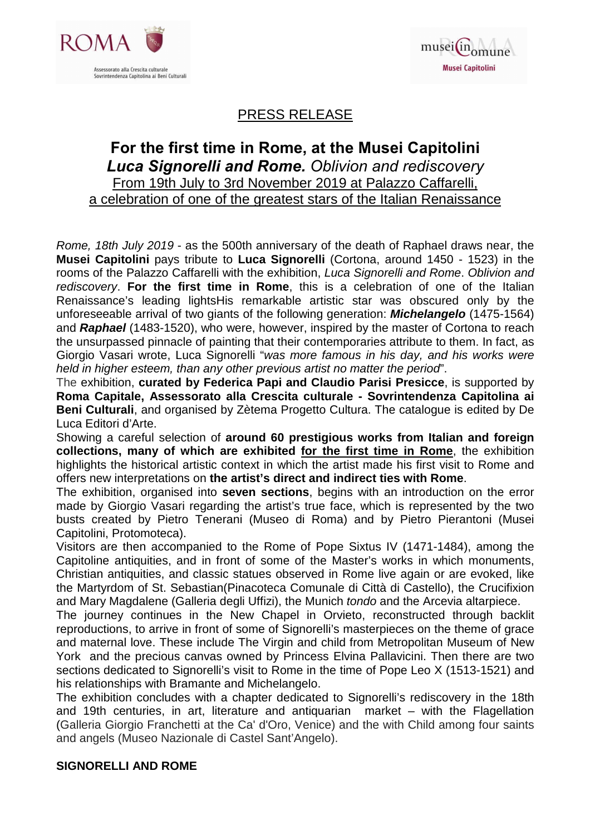



# PRESS RELEASE

# **For the first time in Rome, at the Musei Capitolini** *Luca Signorelli and Rome. Oblivion and rediscovery* From 19th July to 3rd November 2019 at Palazzo Caffarelli, a celebration of one of the greatest stars of the Italian Renaissance

Rome, 18th July 2019 - as the 500th anniversary of the death of Raphael draws near, the **Musei Capitolini** pays tribute to **Luca Signorelli** (Cortona, around 1450 - 1523) in the rooms of the Palazzo Caffarelli with the exhibition, Luca Signorelli and Rome. Oblivion and rediscovery. **For the first time in Rome**, this is a celebration of one of the Italian Renaissance's leading lightsHis remarkable artistic star was obscured only by the unforeseeable arrival of two giants of the following generation: **Michelangelo** (1475-1564) and **Raphael** (1483-1520), who were, however, inspired by the master of Cortona to reach the unsurpassed pinnacle of painting that their contemporaries attribute to them. In fact, as Giorgio Vasari wrote, Luca Signorelli "was more famous in his day, and his works were held in higher esteem, than any other previous artist no matter the period".

The exhibition, **curated by Federica Papi and Claudio Parisi Presicce**, is supported by **Roma Capitale, Assessorato alla Crescita culturale - Sovrintendenza Capitolina ai Beni Culturali**, and organised by Zètema Progetto Cultura. The catalogue is edited by De Luca Editori d'Arte.

Showing a careful selection of **around 60 prestigious works from Italian and foreign collections, many of which are exhibited for the first time in Rome**, the exhibition highlights the historical artistic context in which the artist made his first visit to Rome and offers new interpretations on **the artist's direct and indirect ties with Rome**.

The exhibition, organised into **seven sections**, begins with an introduction on the error made by Giorgio Vasari regarding the artist's true face, which is represented by the two busts created by Pietro Tenerani (Museo di Roma) and by Pietro Pierantoni (Musei Capitolini, Protomoteca).

Visitors are then accompanied to the Rome of Pope Sixtus IV (1471-1484), among the Capitoline antiquities, and in front of some of the Master's works in which monuments, Christian antiquities, and classic statues observed in Rome live again or are evoked, like the Martyrdom of St. Sebastian(Pinacoteca Comunale di Città di Castello), the Crucifixion and Mary Magdalene (Galleria degli Uffizi), the Munich tondo and the Arcevia altarpiece.

The journey continues in the New Chapel in Orvieto, reconstructed through backlit reproductions, to arrive in front of some of Signorelli's masterpieces on the theme of grace and maternal love. These include The Virgin and child from Metropolitan Museum of New York and the precious canvas owned by Princess Elvina Pallavicini. Then there are two sections dedicated to Signorelli's visit to Rome in the time of Pope Leo X (1513-1521) and his relationships with Bramante and Michelangelo.

The exhibition concludes with a chapter dedicated to Signorelli's rediscovery in the 18th and 19th centuries, in art, literature and antiquarian market – with the Flagellation (Galleria Giorgio Franchetti at the Ca' d'Oro, Venice) and the with Child among four saints and angels (Museo Nazionale di Castel Sant'Angelo).

#### **SIGNORELLI AND ROME**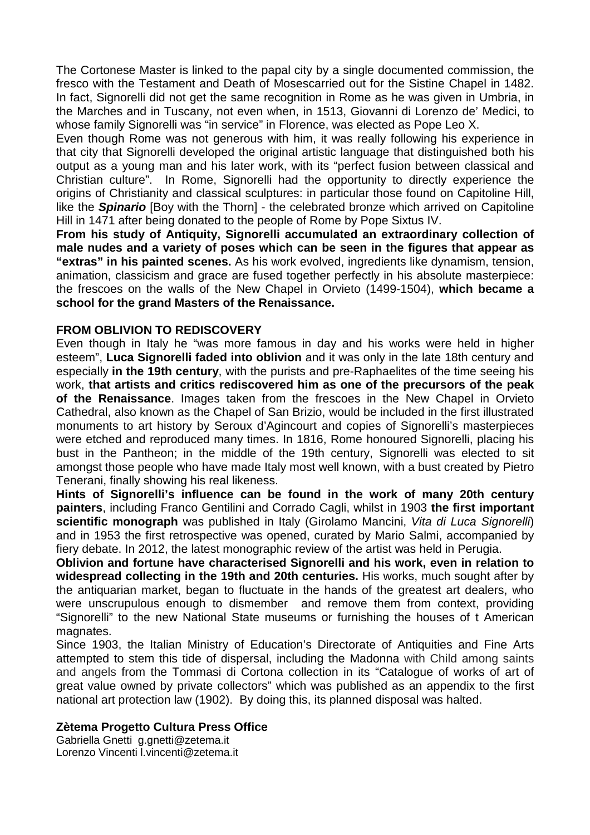The Cortonese Master is linked to the papal city by a single documented commission, the fresco with the Testament and Death of Mosescarried out for the Sistine Chapel in 1482. In fact, Signorelli did not get the same recognition in Rome as he was given in Umbria, in the Marches and in Tuscany, not even when, in 1513, Giovanni di Lorenzo de' Medici, to whose family Signorelli was "in service" in Florence, was elected as Pope Leo X.

Even though Rome was not generous with him, it was really following his experience in that city that Signorelli developed the original artistic language that distinguished both his output as a young man and his later work, with its "perfect fusion between classical and Christian culture". In Rome, Signorelli had the opportunity to directly experience the origins of Christianity and classical sculptures: in particular those found on Capitoline Hill, like the **Spinario** [Boy with the Thorn] - the celebrated bronze which arrived on Capitoline Hill in 1471 after being donated to the people of Rome by Pope Sixtus IV.

**From his study of Antiquity, Signorelli accumulated an extraordinary collection of male nudes and a variety of poses which can be seen in the figures that appear as "extras" in his painted scenes.** As his work evolved, ingredients like dynamism, tension, animation, classicism and grace are fused together perfectly in his absolute masterpiece: the frescoes on the walls of the New Chapel in Orvieto (1499-1504), **which became a school for the grand Masters of the Renaissance.** 

#### **FROM OBLIVION TO REDISCOVERY**

Even though in Italy he "was more famous in day and his works were held in higher esteem", **Luca Signorelli faded into oblivion** and it was only in the late 18th century and especially **in the 19th century**, with the purists and pre-Raphaelites of the time seeing his work, **that artists and critics rediscovered him as one of the precursors of the peak of the Renaissance**. Images taken from the frescoes in the New Chapel in Orvieto Cathedral, also known as the Chapel of San Brizio, would be included in the first illustrated monuments to art history by Seroux d'Agincourt and copies of Signorelli's masterpieces were etched and reproduced many times. In 1816, Rome honoured Signorelli, placing his bust in the Pantheon; in the middle of the 19th century, Signorelli was elected to sit amongst those people who have made Italy most well known, with a bust created by Pietro Tenerani, finally showing his real likeness.

**Hints of Signorelli's influence can be found in the work of many 20th century painters**, including Franco Gentilini and Corrado Cagli, whilst in 1903 **the first important**  scientific monograph was published in Italy (Girolamo Mancini, Vita di Luca Signorelli) and in 1953 the first retrospective was opened, curated by Mario Salmi, accompanied by fiery debate. In 2012, the latest monographic review of the artist was held in Perugia.

**Oblivion and fortune have characterised Signorelli and his work, even in relation to widespread collecting in the 19th and 20th centuries.** His works, much sought after by the antiquarian market, began to fluctuate in the hands of the greatest art dealers, who were unscrupulous enough to dismember and remove them from context, providing "Signorelli" to the new National State museums or furnishing the houses of t American magnates.

Since 1903, the Italian Ministry of Education's Directorate of Antiquities and Fine Arts attempted to stem this tide of dispersal, including the Madonna with Child among saints and angels from the Tommasi di Cortona collection in its "Catalogue of works of art of great value owned by private collectors" which was published as an appendix to the first national art protection law (1902). By doing this, its planned disposal was halted.

#### **Zètema Progetto Cultura Press Office**

Gabriella Gnetti g.gnetti@zetema.it Lorenzo Vincenti l.vincenti@zetema.it